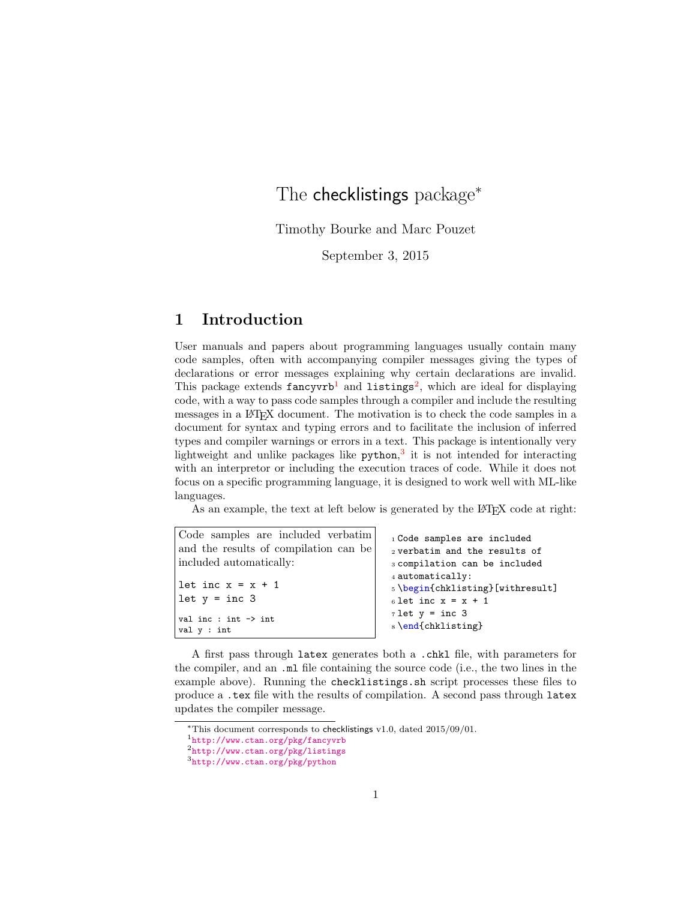# The checklistings package<sup>\*</sup>

Timothy Bourke and Marc Pouzet

September 3, 2015

# 1 Introduction

User manuals and papers about programming languages usually contain many code samples, often with accompanying compiler messages giving the types of declarations or error messages explaining why certain declarations are invalid. This package extends  $fancyvrb<sup>1</sup>$  $fancyvrb<sup>1</sup>$  $fancyvrb<sup>1</sup>$  and listings<sup>[2](#page-0-1)</sup>, which are ideal for displaying code, with a way to pass code samples through a compiler and include the resulting messages in a LATEX document. The motivation is to check the code samples in a document for syntax and typing errors and to facilitate the inclusion of inferred types and compiler warnings or errors in a text. This package is intentionally very lightweight and unlike packages like python,<sup>[3](#page-0-2)</sup> it is not intended for interacting with an interpretor or including the execution traces of code. While it does not focus on a specific programming language, it is designed to work well with ML-like languages.

As an example, the text at left below is generated by the L<sup>AT</sup>FX code at right:

| Code samples are included verbatim     | 1 Code samples are included                                                    |
|----------------------------------------|--------------------------------------------------------------------------------|
| and the results of compilation can be  | 2 verbatim and the results of                                                  |
| included automatically:                | 3 compilation can be included                                                  |
| let inc $x = x + 1$<br>$let y = inc 3$ | 4 automatically:<br>5 \begin{chklisting} [withresult]<br>6 let inc $x = x + 1$ |
| val inc : int $\rightarrow$ int        | $7$ let $y = inc$ 3                                                            |
| val y : int                            | s \end{chklisting}                                                             |

A first pass through latex generates both a .chkl file, with parameters for the compiler, and an .ml file containing the source code (i.e., the two lines in the example above). Running the checklistings.sh script processes these files to produce a .tex file with the results of compilation. A second pass through latex updates the compiler message.

<sup>∗</sup>This document corresponds to checklistings v1.0, dated 2015/09/01.

<span id="page-0-0"></span><sup>1</sup><http://www.ctan.org/pkg/fancyvrb>

<span id="page-0-1"></span><sup>2</sup><http://www.ctan.org/pkg/listings>

<span id="page-0-2"></span><sup>3</sup><http://www.ctan.org/pkg/python>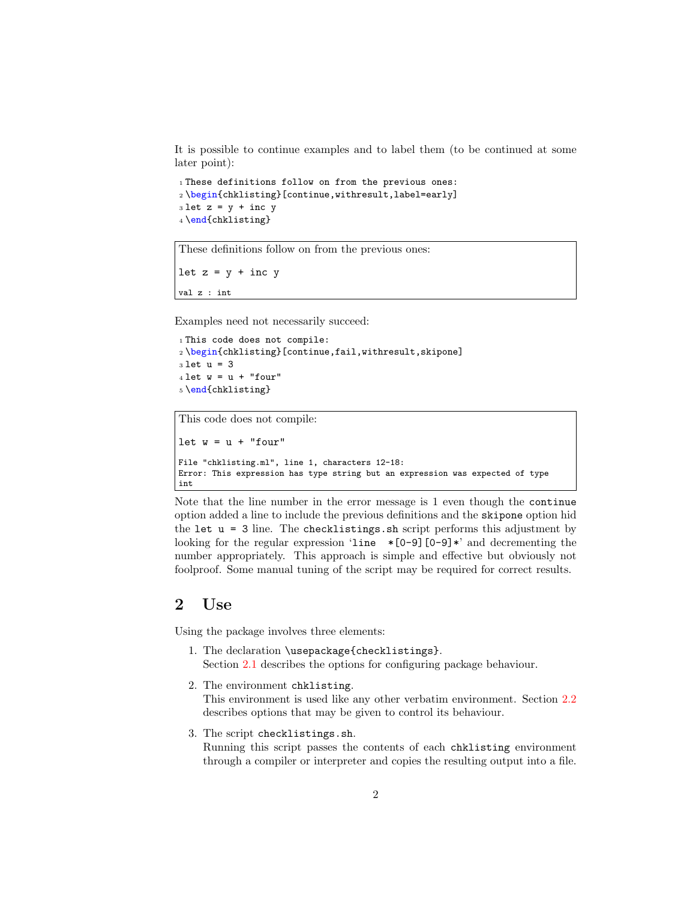It is possible to continue examples and to label them (to be continued at some later point):

```
1 These definitions follow on from the previous ones:
2 \begin{chklisting}[continue,withresult,label=early]
3 let z = y + inc y4 \end{chklisting}
```
These definitions follow on from the previous ones:

let  $z = y + inc y$ 

val z : int

Examples need not necessarily succeed:

```
1 This code does not compile:
2 \begin{chklisting}[continue,fail,withresult,skipone]
3 let u = 3
4 let w = u + "four"5 \end{chklisting}
```
This code does not compile:

```
let w = u + "four"File "chklisting.ml", line 1, characters 12-18:
Error: This expression has type string but an expression was expected of type
int
```
Note that the line number in the error message is 1 even though the continue option added a line to include the previous definitions and the skipone option hid the let  $u = 3$  line. The checklistings.sh script performs this adjustment by looking for the regular expression 'line  $\ast$  [0-9][0-9] $\ast$ ' and decrementing the number appropriately. This approach is simple and effective but obviously not foolproof. Some manual tuning of the script may be required for correct results.

# 2 Use

Using the package involves three elements:

- 1. The declaration \usepackage{checklistings}. Section [2.1](#page-2-0) describes the options for configuring package behaviour.
- 2. The environment chklisting. This environment is used like any other verbatim environment. Section [2.2](#page-4-0) describes options that may be given to control its behaviour.
- 3. The script checklistings.sh. Running this script passes the contents of each chklisting environment through a compiler or interpreter and copies the resulting output into a file.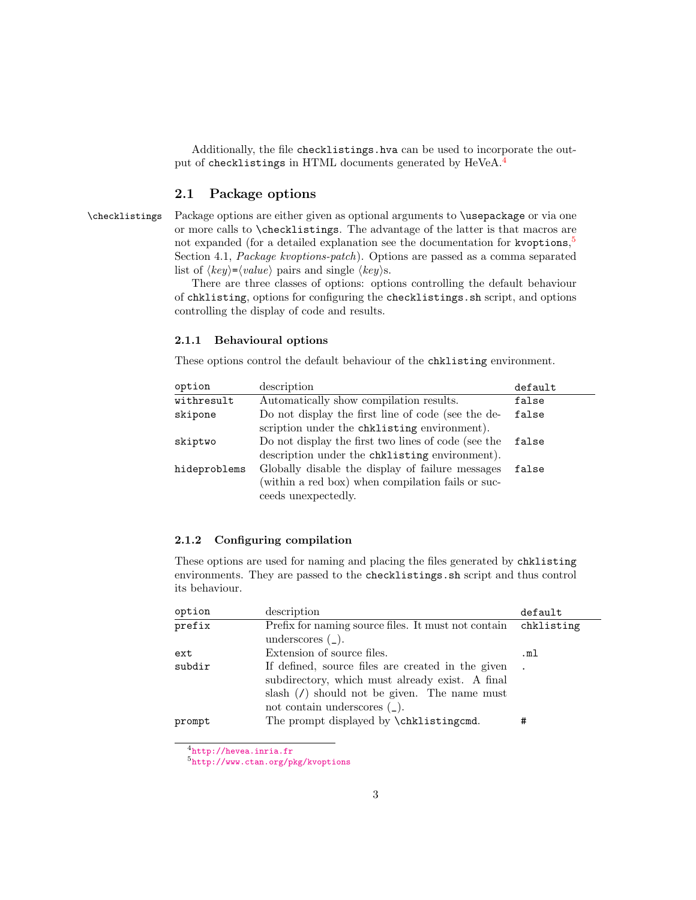Additionally, the file checklistings.hva can be used to incorporate the out-put of checklistings in HTML documents generated by HeVeA.<sup>[4](#page-2-1)</sup>

### <span id="page-2-4"></span><span id="page-2-0"></span>2.1 Package options

\checklistings Package options are either given as optional arguments to \usepackage or via one or more calls to \checklistings. The advantage of the latter is that macros are not expanded (for a detailed explanation see the documentation for kvoptions, [5](#page-2-2) Section 4.1, Package kvoptions-patch). Options are passed as a comma separated list of  $\langle key \rangle = \langle value \rangle$  pairs and single  $\langle key \rangle$ s.

There are three classes of options: options controlling the default behaviour of chklisting, options for configuring the checklistings.sh script, and options controlling the display of code and results.

#### 2.1.1 Behavioural options

These options control the default behaviour of the chklisting environment.

| option       | description                                         | default |
|--------------|-----------------------------------------------------|---------|
| withresult   | Automatically show compilation results.             | false   |
| skipone      | Do not display the first line of code (see the de-  | false   |
|              | scription under the chklisting environment).        |         |
| skiptwo      | Do not display the first two lines of code (see the | false   |
|              | description under the chklisting environment).      |         |
| hideproblems | Globally disable the display of failure messages    | false   |
|              | (within a red box) when compilation fails or suc-   |         |
|              | ceeds unexpectedly.                                 |         |

#### <span id="page-2-3"></span>2.1.2 Configuring compilation

These options are used for naming and placing the files generated by chklisting environments. They are passed to the checklistings.sh script and thus control its behaviour.

| option | description                                         | default    |
|--------|-----------------------------------------------------|------------|
| prefix | Prefix for naming source files. It must not contain | chklisting |
|        | underscores $(\_$ ).                                |            |
| ext    | Extension of source files.                          | .ml        |
| subdir | If defined, source files are created in the given   |            |
|        | subdirectory, which must already exist. A final     |            |
|        | slash $(7)$ should not be given. The name must      |            |
|        | not contain underscores $(\_).$                     |            |
| prompt | The prompt displayed by \chklistingcmd.             | #          |

<span id="page-2-1"></span><sup>4</sup><http://hevea.inria.fr>

<span id="page-2-2"></span><sup>5</sup><http://www.ctan.org/pkg/kvoptions>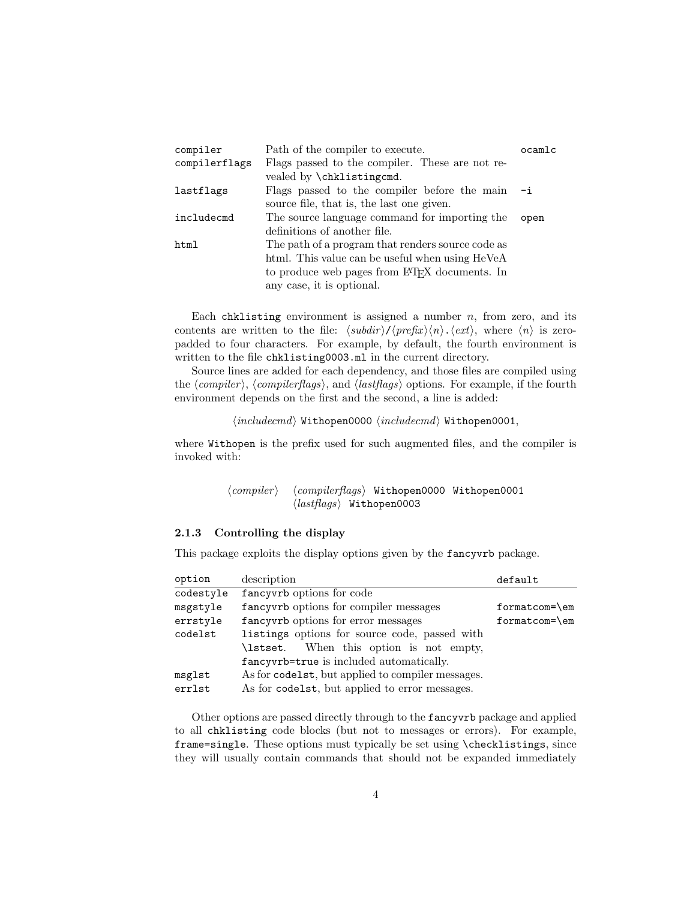| compiler      | Path of the compiler to execute.                           | ocamlc |
|---------------|------------------------------------------------------------|--------|
| compilerflags | Flags passed to the compiler. These are not re-            |        |
|               | vealed by \chklistingcmd.                                  |        |
| lastflags     | Flags passed to the compiler before the main               | $- i$  |
|               | source file, that is, the last one given.                  |        |
| includecmd    | The source language command for importing the              | open   |
|               | definitions of another file.                               |        |
| html          | The path of a program that renders source code as          |        |
|               | html. This value can be useful when using HeVeA            |        |
|               | to produce web pages from LAT <sub>F</sub> X documents. In |        |
|               | any case, it is optional.                                  |        |
|               |                                                            |        |

Each chklisting environment is assigned a number  $n$ , from zero, and its contents are written to the file:  $\langle subdir \rangle / \langle prefix \rangle \langle n \rangle$ .  $\langle ext \rangle$ , where  $\langle n \rangle$  is zeropadded to four characters. For example, by default, the fourth environment is written to the file chklisting0003.ml in the current directory.

Source lines are added for each dependency, and those files are compiled using the  $\langle compiler \rangle$ ,  $\langle compilerflags \rangle$ , and  $\langle lastflags \rangle$  options. For example, if the fourth environment depends on the first and the second, a line is added:

 $\langle \mathit{includecmd}\rangle$  Withopen0000  $\langle \mathit{includecmd}\rangle$  Withopen0001,

where Withopen is the prefix used for such augmented files, and the compiler is invoked with:

> $\langle compiler \rangle$   $\langle compilerflags \rangle$  Withopen0000 Withopen0001  $\langle \textit{lastflags} \rangle$  Withopen0003

#### 2.1.3 Controlling the display

This package exploits the display options given by the fancyvrb package.

| option    | description                                       | default       |
|-----------|---------------------------------------------------|---------------|
| codestyle | fancy options for code                            |               |
| msgstyle  | fancyvrb options for compiler messages            | formatcom=\em |
| errstyle  | fancyvrb options for error messages               | formatcom=\em |
| codelst   | listings options for source code, passed with     |               |
|           | \lstset. When this option is not empty,           |               |
|           | fancyvrb=true is included automatically.          |               |
| msglst    | As for codelst, but applied to compiler messages. |               |
| errlst    | As for codelst, but applied to error messages.    |               |

Other options are passed directly through to the fancyvrb package and applied to all chklisting code blocks (but not to messages or errors). For example, frame=single. These options must typically be set using \checklistings, since they will usually contain commands that should not be expanded immediately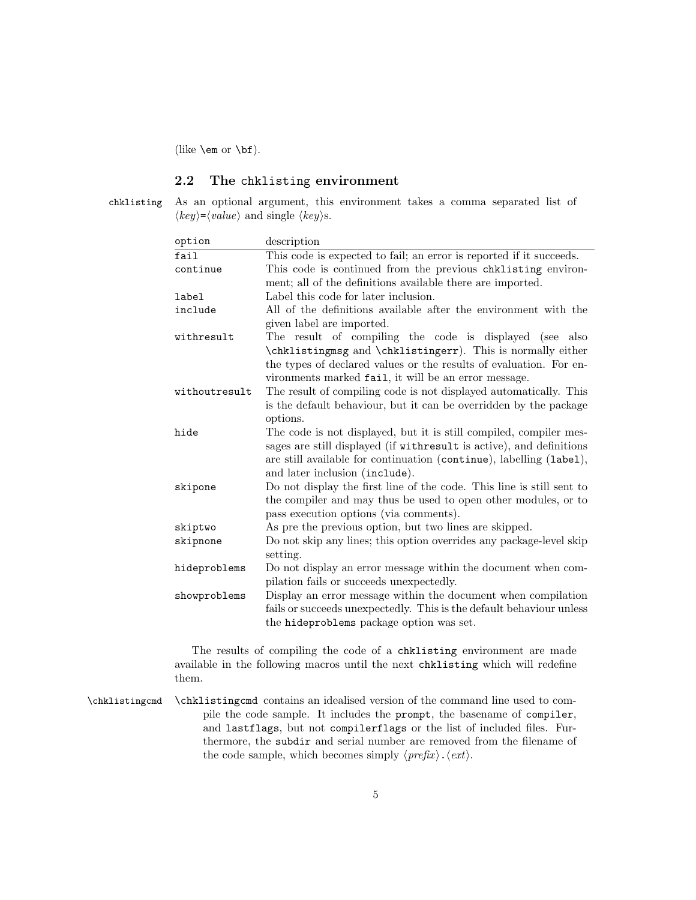(like \em or \bf).

### <span id="page-4-1"></span><span id="page-4-0"></span>2.2 The chklisting environment

chklisting As an optional argument, this environment takes a comma separated list of  $\langle key \rangle = \langle value \rangle$  and single  $\langle key \rangle$ s.

| option        | description                                                                                      |
|---------------|--------------------------------------------------------------------------------------------------|
| fail          | This code is expected to fail; an error is reported if it succeeds.                              |
| continue      | This code is continued from the previous chklisting environ-                                     |
|               | ment; all of the definitions available there are imported.                                       |
| label         | Label this code for later inclusion.                                                             |
| include       | All of the definitions available after the environment with the                                  |
|               | given label are imported.                                                                        |
| withresult    | The result of compiling the code is displayed (see also                                          |
|               | \chklistingmsg and \chklistingerr). This is normally either                                      |
|               | the types of declared values or the results of evaluation. For en-                               |
|               | vironments marked fail, it will be an error message.                                             |
| withoutresult | The result of compiling code is not displayed automatically. This                                |
|               | is the default behaviour, but it can be overridden by the package                                |
|               | options.                                                                                         |
| hide          | The code is not displayed, but it is still compiled, compiler mes-                               |
|               | sages are still displayed (if withresult is active), and definitions                             |
|               | are still available for continuation (continue), labelling (label),                              |
|               | and later inclusion (include).                                                                   |
| skipone       | Do not display the first line of the code. This line is still sent to                            |
|               | the compiler and may thus be used to open other modules, or to                                   |
|               | pass execution options (via comments).<br>As pre the previous option, but two lines are skipped. |
| skiptwo       |                                                                                                  |
| skipnone      | Do not skip any lines; this option overrides any package-level skip<br>setting.                  |
| hideproblems  | Do not display an error message within the document when com-                                    |
|               | pilation fails or succeeds unexpectedly.                                                         |
| showproblems  | Display an error message within the document when compilation                                    |
|               | fails or succeeds unexpectedly. This is the default behaviour unless                             |
|               | the hideproblems package option was set.                                                         |
|               |                                                                                                  |

<span id="page-4-2"></span>The results of compiling the code of a chklisting environment are made available in the following macros until the next chklisting which will redefine them.

\chklistingcmd \chklistingcmd contains an idealised version of the command line used to compile the code sample. It includes the prompt, the basename of compiler, and lastflags, but not compilerflags or the list of included files. Furthermore, the subdir and serial number are removed from the filename of the code sample, which becomes simply  $\langle prefix \rangle$ .  $\langle ext \rangle$ .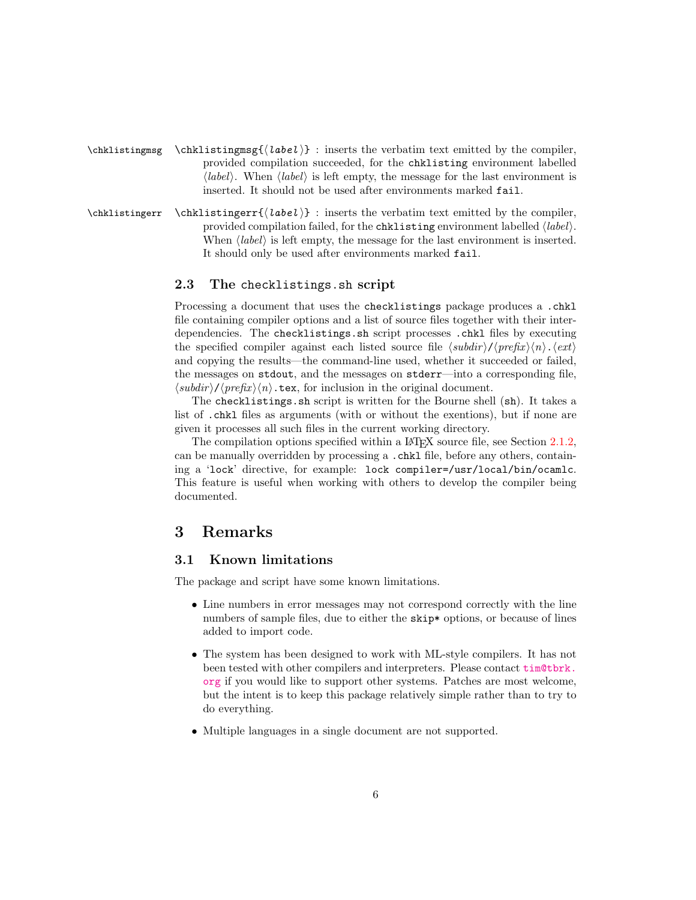- $\chklistinguishing map {\chklistinguishing map}$  : inserts the verbatim text emitted by the compiler, provided compilation succeeded, for the chklisting environment labelled (*label*). When  $\langle label \rangle$  is left empty, the message for the last environment is inserted. It should not be used after environments marked fail.
- $\chklistinguisher \chklistinguishier({label})$ : inserts the verbatim text emitted by the compiler, provided compilation failed, for the chklisting environment labelled  $\langle label \rangle$ . When  $\langle label \rangle$  is left empty, the message for the last environment is inserted. It should only be used after environments marked fail.

### <span id="page-5-1"></span><span id="page-5-0"></span>2.3 The checklistings.sh script

Processing a document that uses the checklistings package produces a .chkl file containing compiler options and a list of source files together with their interdependencies. The checklistings.sh script processes .chkl files by executing the specified compiler against each listed source file  $\langle subdir \rangle / \langle prefix \rangle \langle n \rangle$ .  $\langle ext \rangle$ and copying the results—the command-line used, whether it succeeded or failed, the messages on stdout, and the messages on stderr—into a corresponding file,  $\langle subdir \rangle / \langle prefix \rangle \langle n \rangle$ .tex, for inclusion in the original document.

The checklistings.sh script is written for the Bourne shell (sh). It takes a list of .chkl files as arguments (with or without the exentions), but if none are given it processes all such files in the current working directory.

The compilation options specified within a LAT<sub>EX</sub> source file, see Section [2.1.2,](#page-2-3) can be manually overridden by processing a .chkl file, before any others, containing a 'lock' directive, for example: lock compiler=/usr/local/bin/ocamlc. This feature is useful when working with others to develop the compiler being documented.

### 3 Remarks

### 3.1 Known limitations

The package and script have some known limitations.

- Line numbers in error messages may not correspond correctly with the line numbers of sample files, due to either the skip\* options, or because of lines added to import code.
- The system has been designed to work with ML-style compilers. It has not been tested with other compilers and interpreters. Please contact [tim@tbrk.](tim@tbrk.org) [org](tim@tbrk.org) if you would like to support other systems. Patches are most welcome, but the intent is to keep this package relatively simple rather than to try to do everything.
- Multiple languages in a single document are not supported.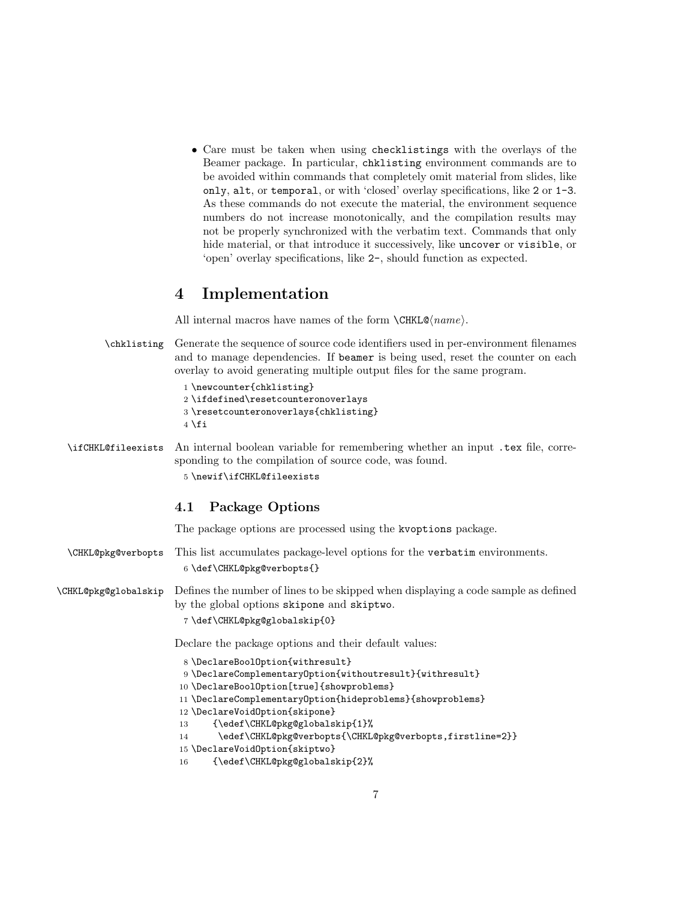• Care must be taken when using checklistings with the overlays of the Beamer package. In particular, chklisting environment commands are to be avoided within commands that completely omit material from slides, like only, alt, or temporal, or with 'closed' overlay specifications, like 2 or 1-3. As these commands do not execute the material, the environment sequence numbers do not increase monotonically, and the compilation results may not be properly synchronized with the verbatim text. Commands that only hide material, or that introduce it successively, like uncover or visible, or 'open' overlay specifications, like 2-, should function as expected.

### 4 Implementation

All internal macros have names of the form  $\text{CHKL@}(name)$ .

<span id="page-6-5"></span>\chklisting Generate the sequence of source code identifiers used in per-environment filenames and to manage dependencies. If beamer is being used, reset the counter on each overlay to avoid generating multiple output files for the same program.

| 1 \newcounter{chklisting}          |  |
|------------------------------------|--|
| 2\ifdefined\resetcounteronoverlays |  |

3 \resetcounteronoverlays{chklisting}

 $4$  \fi

<span id="page-6-6"></span>\ifCHKL@fileexists An internal boolean variable for remembering whether an input .tex file, corresponding to the compilation of source code, was found. 5 \newif\ifCHKL@fileexists

### 4.1 Package Options

The package options are processed using the kvoptions package.

<span id="page-6-3"></span>\CHKL@pkg@verbopts This list accumulates package-level options for the verbatim environments. 6 \def\CHKL@pkg@verbopts{}

<span id="page-6-0"></span>\CHKL@pkg@globalskip Defines the number of lines to be skipped when displaying a code sample as defined by the global options skipone and skiptwo.

7 \def\CHKL@pkg@globalskip{0}

Declare the package options and their default values:

```
8 \DeclareBoolOption{withresult}
9 \DeclareComplementaryOption{withoutresult}{withresult}
10 \DeclareBoolOption[true]{showproblems}
11 \DeclareComplementaryOption{hideproblems}{showproblems}
12 \DeclareVoidOption{skipone}
13 {\edef\CHKL@pkg@globalskip{1}%
14 \edef\CHKL@pkg@verbopts{\CHKL@pkg@verbopts,firstline=2}}
15 \DeclareVoidOption{skiptwo}
16 {\edef\CHKL@pkg@globalskip{2}%
```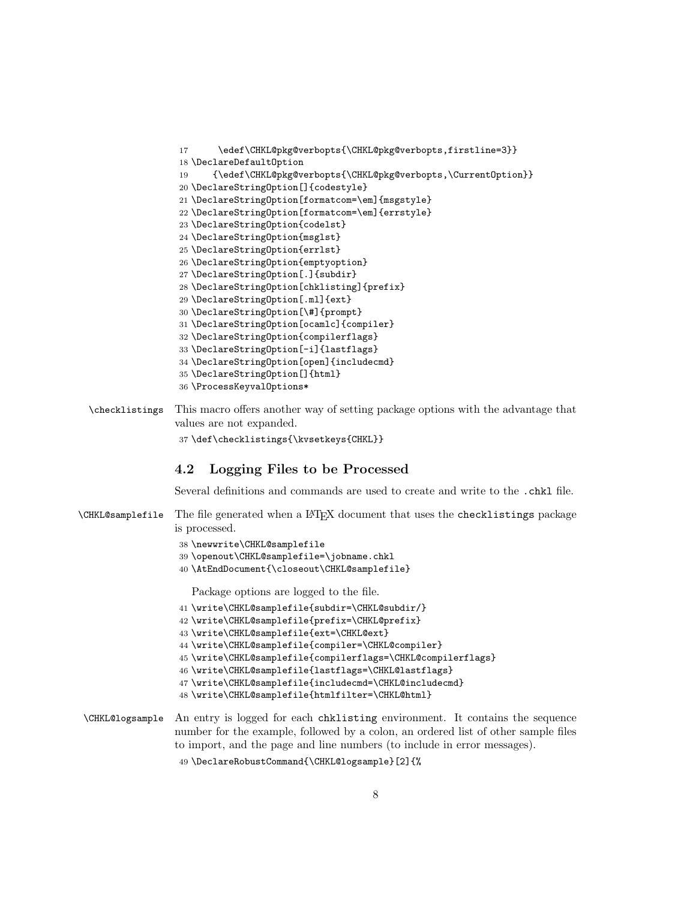```
17 \edef\CHKL@pkg@verbopts{\CHKL@pkg@verbopts,firstline=3}}
18 \DeclareDefaultOption
19 {\edef\CHKL@pkg@verbopts{\CHKL@pkg@verbopts,\CurrentOption}}
20 \DeclareStringOption[]{codestyle}
21 \DeclareStringOption[formatcom=\em]{msgstyle}
22 \DeclareStringOption[formatcom=\em]{errstyle}
23 \DeclareStringOption{codelst}
24 \DeclareStringOption{msglst}
25 \DeclareStringOption{errlst}
26 \DeclareStringOption{emptyoption}
27 \DeclareStringOption[.]{subdir}
28 \DeclareStringOption[chklisting]{prefix}
29 \DeclareStringOption[.ml]{ext}
30 \DeclareStringOption[\#]{prompt}
31 \DeclareStringOption[ocamlc]{compiler}
32 \DeclareStringOption{compilerflags}
33 \DeclareStringOption[-i]{lastflags}
34 \DeclareStringOption[open]{includecmd}
35 \DeclareStringOption[]{html}
36 \ProcessKeyvalOptions*
```
<span id="page-7-0"></span>\checklistings This macro offers another way of setting package options with the advantage that values are not expanded. \def\checklistings{\kvsetkeys{CHKL}}

### 4.2 Logging Files to be Processed

Several definitions and commands are used to create and write to the .chkl file.

<span id="page-7-11"></span>\CHKL@samplefile The file generated when a LATEX document that uses the checklistings package is processed.

```
38 \newwrite\CHKL@samplefile
```
- \openout\CHKL@samplefile=\jobname.chkl
- \AtEndDocument{\closeout\CHKL@samplefile}

Package options are logged to the file.

```
41 \write\CHKL@samplefile{subdir=\CHKL@subdir/}
42 \write\CHKL@samplefile{prefix=\CHKL@prefix}
43 \write\CHKL@samplefile{ext=\CHKL@ext}
44 \write\CHKL@samplefile{compiler=\CHKL@compiler}
45 \write\CHKL@samplefile{compilerflags=\CHKL@compilerflags}
46 \write\CHKL@samplefile{lastflags=\CHKL@lastflags}
47 \write\CHKL@samplefile{includecmd=\CHKL@includecmd}
48 \write\CHKL@samplefile{htmlfilter=\CHKL@html}
```
<span id="page-7-7"></span>\CHKL@logsample An entry is logged for each chklisting environment. It contains the sequence number for the example, followed by a colon, an ordered list of other sample files to import, and the page and line numbers (to include in error messages). \DeclareRobustCommand{\CHKL@logsample}[2]{%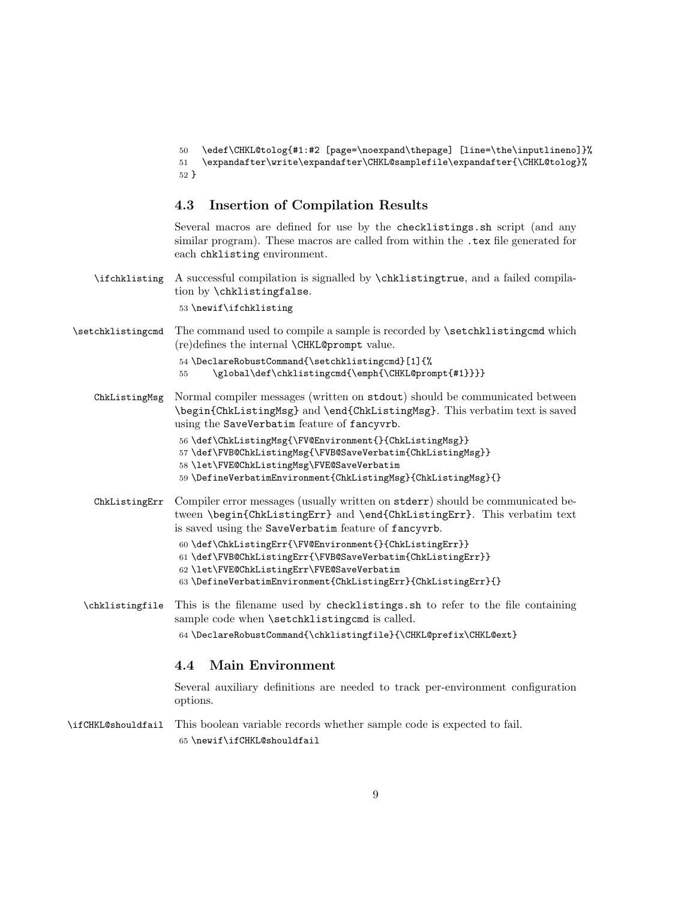<span id="page-8-3"></span><span id="page-8-2"></span>50 \edef\CHKL@tolog{#1:#2 [page=\noexpand\thepage] [line=\the\inputlineno]}% 51 \expandafter\write\expandafter\CHKL@samplefile\expandafter{\CHKL@tolog}% 52 }

### 4.3 Insertion of Compilation Results

Several macros are defined for use by the checklistings.sh script (and any similar program). These macros are called from within the .tex file generated for each chklisting environment.

<span id="page-8-13"></span>\ifchklisting A successful compilation is signalled by \chklistingtrue, and a failed compilation by \chklistingfalse.

53 \newif\ifchklisting

<span id="page-8-14"></span>\setchklistingcmd The command used to compile a sample is recorded by \setchklistingcmd which (re)defines the internal \CHKL@prompt value.

```
54 \DeclareRobustCommand{\setchklistingcmd}[1]{%
```
- <span id="page-8-1"></span>55 \global\def\chklistingcmd{\emph{\CHKL@prompt{#1}}}}
- ChkListingMsg Normal compiler messages (written on stdout) should be communicated between \begin{ChkListingMsg} and \end{ChkListingMsg}. This verbatim text is saved using the SaveVerbatim feature of fancyvrb.

<span id="page-8-7"></span>

|  |  | 56 \def\ChkListingMsg{\FV@Environment{}{ChkListingMsg}} |  |
|--|--|---------------------------------------------------------|--|
|--|--|---------------------------------------------------------|--|

<span id="page-8-9"></span>57 \def\FVB@ChkListingMsg{\FVB@SaveVerbatim{ChkListingMsg}}

<span id="page-8-11"></span>58 \let\FVE@ChkListingMsg\FVE@SaveVerbatim

<span id="page-8-8"></span><span id="page-8-5"></span><span id="page-8-4"></span>59 \DefineVerbatimEnvironment{ChkListingMsg}{ChkListingMsg}{}

- ChkListingErr Compiler error messages (usually written on stderr) should be communicated between \begin{ChkListingErr} and \end{ChkListingErr}. This verbatim text is saved using the SaveVerbatim feature of fancyvrb.
	- 60 \def\ChkListingErr{\FV@Environment{}{ChkListingErr}} 61 \def\FVB@ChkListingErr{\FVB@SaveVerbatim{ChkListingErr}}
	- 62 \let\FVE@ChkListingErr\FVE@SaveVerbatim
	- 63 \DefineVerbatimEnvironment{ChkListingErr}{ChkListingErr}{}
- <span id="page-8-6"></span>\chklistingfile This is the filename used by checklistings.sh to refer to the file containing sample code when **\setchklistingcmd** is called.

<span id="page-8-10"></span><span id="page-8-0"></span>64 \DeclareRobustCommand{\chklistingfile}{\CHKL@prefix\CHKL@ext}

### 4.4 Main Environment

Several auxiliary definitions are needed to track per-environment configuration options.

<span id="page-8-12"></span>\ifCHKL@shouldfail This boolean variable records whether sample code is expected to fail. 65 \newif\ifCHKL@shouldfail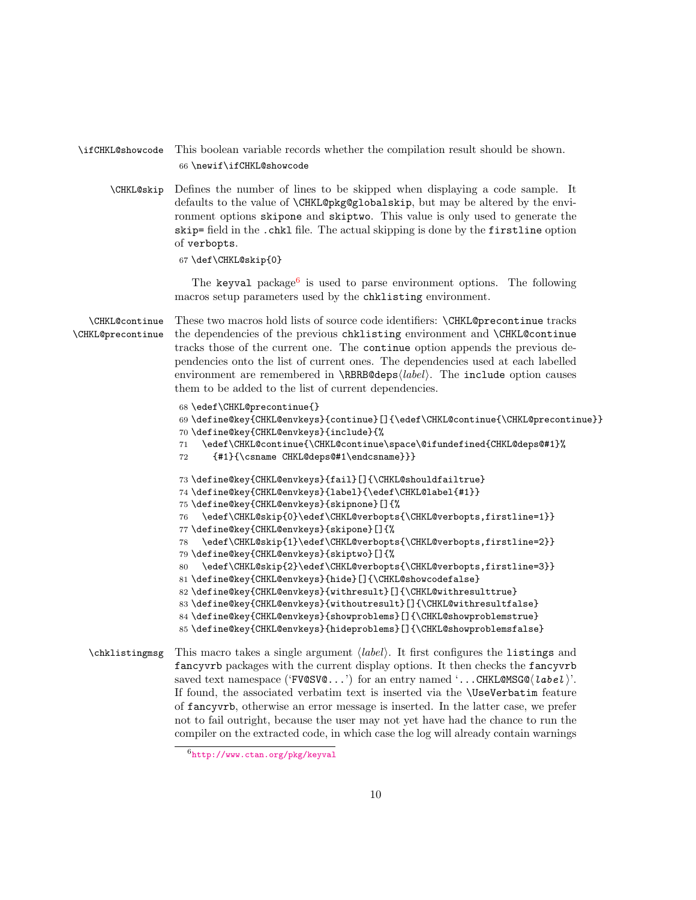### <span id="page-9-15"></span>\ifCHKL@showcode This boolean variable records whether the compilation result should be shown. 66 \newif\ifCHKL@showcode

<span id="page-9-8"></span>\CHKL@skip Defines the number of lines to be skipped when displaying a code sample. It defaults to the value of \CHKL@pkg@globalskip, but may be altered by the environment options skipone and skiptwo. This value is only used to generate the skip= field in the .chkl file. The actual skipping is done by the firstline option of verbopts.

67 \def\CHKL@skip{0}

The keyval package<sup>[6](#page-9-0)</sup> is used to parse environment options. The following macros setup parameters used by the chklisting environment.

<span id="page-9-3"></span><span id="page-9-1"></span>\CHKL@continue \CHKL@precontinue These two macros hold lists of source code identifiers: \CHKL@precontinue tracks the dependencies of the previous chklisting environment and \CHKL@continue tracks those of the current one. The continue option appends the previous dependencies onto the list of current ones. The dependencies used at each labelled environment are remembered in  $\RBRB@deps/label$ . The include option causes them to be added to the list of current dependencies.

```
68 \edef\CHKL@precontinue{}
                 69 \define@key{CHKL@envkeys}{continue}[]{\edef\CHKL@continue{\CHKL@precontinue}}
                 70 \define@key{CHKL@envkeys}{include}{%
                 71 \edef\CHKL@continue{\CHKL@continue\space\@ifundefined{CHKL@deps@#1}%
                 72 {#1}{\csname CHKL@deps@#1\endcsname}}}
                 73 \define@key{CHKL@envkeys}{fail}[]{\CHKL@shouldfailtrue}
                 74 \define@key{CHKL@envkeys}{label}{\edef\CHKL@label{#1}}
                 75 \define@key{CHKL@envkeys}{skipnone}[]{%
                 76 \edef\CHKL@skip{0}\edef\CHKL@verbopts{\CHKL@verbopts,firstline=1}}
                 77 \define@key{CHKL@envkeys}{skipone}[]{%
                 78 \edef\CHKL@skip{1}\edef\CHKL@verbopts{\CHKL@verbopts,firstline=2}}
                 79 \define@key{CHKL@envkeys}{skiptwo}[]{%
                 80 \edef\CHKL@skip{2}\edef\CHKL@verbopts{\CHKL@verbopts,firstline=3}}
                 81 \define@key{CHKL@envkeys}{hide}[]{\CHKL@showcodefalse}
                 82 \define@key{CHKL@envkeys}{withresult}[]{\CHKL@withresulttrue}
                 83 \define@key{CHKL@envkeys}{withoutresult}[]{\CHKL@withresultfalse}
                 84 \define@key{CHKL@envkeys}{showproblems}[]{\CHKL@showproblemstrue}
                 85 \define@key{CHKL@envkeys}{hideproblems}[]{\CHKL@showproblemsfalse}
\chklistinguishing This macro takes a single argument \langle label \rangle. It first configures the listings and
                fancyvrb packages with the current display options. It then checks the fancyvrb
                saved text namespace ('FV@SV@...') for an entry named '...CHKL@MSG@\langle label \rangle'.
                If found, the associated verbatim text is inserted via the \UseVerbatim feature
```
<span id="page-9-14"></span><span id="page-9-13"></span><span id="page-9-12"></span><span id="page-9-11"></span><span id="page-9-7"></span><span id="page-9-6"></span><span id="page-9-5"></span>of fancyvrb, otherwise an error message is inserted. In the latter case, we prefer not to fail outright, because the user may not yet have had the chance to run the compiler on the extracted code, in which case the log will already contain warnings

<span id="page-9-0"></span><sup>6</sup><http://www.ctan.org/pkg/keyval>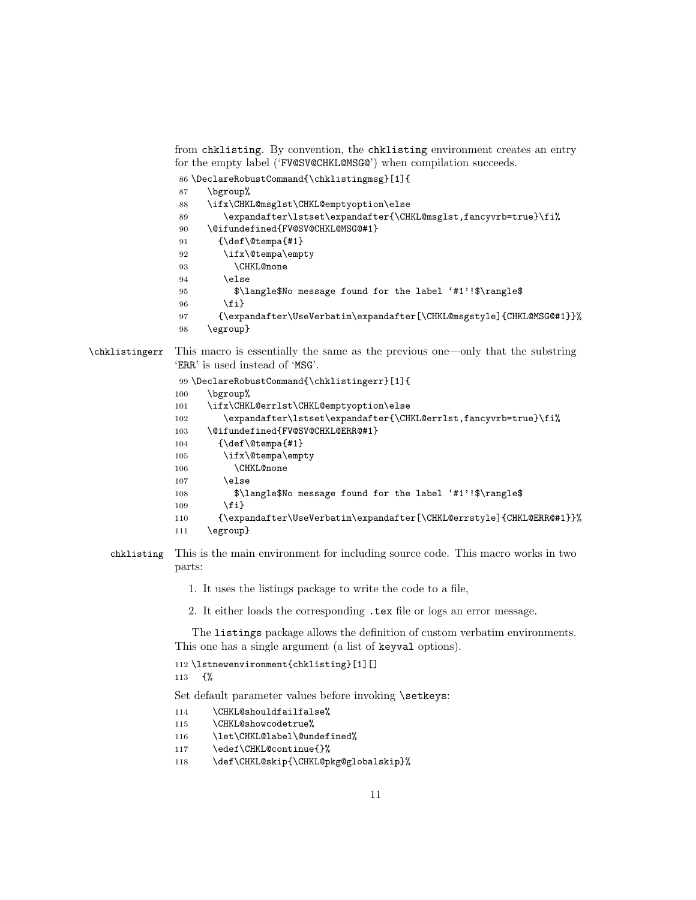```
for the empty label ('FV@SV@CHKL@MSG@') when compilation succeeds.
                86 \DeclareRobustCommand{\chklistingmsg}[1]{
                87 \bgroup%
                88 \ifx\CHKL@msglst\CHKL@emptyoption\else
                89 \expandafter\lstset\expandafter{\CHKL@msglst,fancyvrb=true}\fi%
                90 \@ifundefined{FV@SV@CHKL@MSG@#1}
                91 {\def\@tempa{#1}
                92 \ifx\@tempa\empty
                93 \CHKL@none
                94 \else
                95 $\langle$No message found for the label '#1'!$\rangle$
                96 \quad \text{If} \; 197 {\expandafter\UseVerbatim\expandafter[\CHKL@msgstyle]{CHKL@MSG@#1}}%
                98 \egroup}
\chklistingerr This macro is essentially the same as the previous one—only that the substring
               'ERR' is used instead of 'MSG'.
                99 \DeclareRobustCommand{\chklistingerr}[1]{
```
<span id="page-10-8"></span><span id="page-10-6"></span><span id="page-10-1"></span>from chklisting. By convention, the chklisting environment creates an entry

```
100 \bgroup%
```

```
101 \ifx\CHKL@errlst\CHKL@emptyoption\else
```

```
102 \expandafter\lstset\expandafter{\CHKL@errlst,fancyvrb=true}\fi%
```

```
103 \@ifundefined{FV@SV@CHKL@ERR@#1}
```

```
104 {\def\@tempa{#1}
```

```
105 \ifx\@tempa\empty
106 \CHKL@none
```

```
107 \else
```

```
108 $\langle$No message found for the label '#1'!$\rangle$
```

```
109 \fi}
```

```
110 {\expandafter\UseVerbatim\expandafter[\CHKL@errstyle]{CHKL@ERR@#1}}%
```

```
111 \egroup}
```
- chklisting This is the main environment for including source code. This macro works in two parts:
	- 1. It uses the listings package to write the code to a file,
	- 2. It either loads the corresponding .tex file or logs an error message.

The listings package allows the definition of custom verbatim environments. This one has a single argument (a list of keyval options).

```
112 \lstnewenvironment{chklisting}[1][]
```
113 {%

Set default parameter values before invoking **\setkeys**:

- <span id="page-10-11"></span>114 \CHKL@shouldfailfalse%
- <span id="page-10-12"></span>115 \CHKL@showcodetrue%
- <span id="page-10-5"></span>116 \let\CHKL@label\@undefined%
- <span id="page-10-0"></span>117 \edef\CHKL@continue{}%
- <span id="page-10-10"></span>118 \def\CHKL@skip{\CHKL@pkg@globalskip}%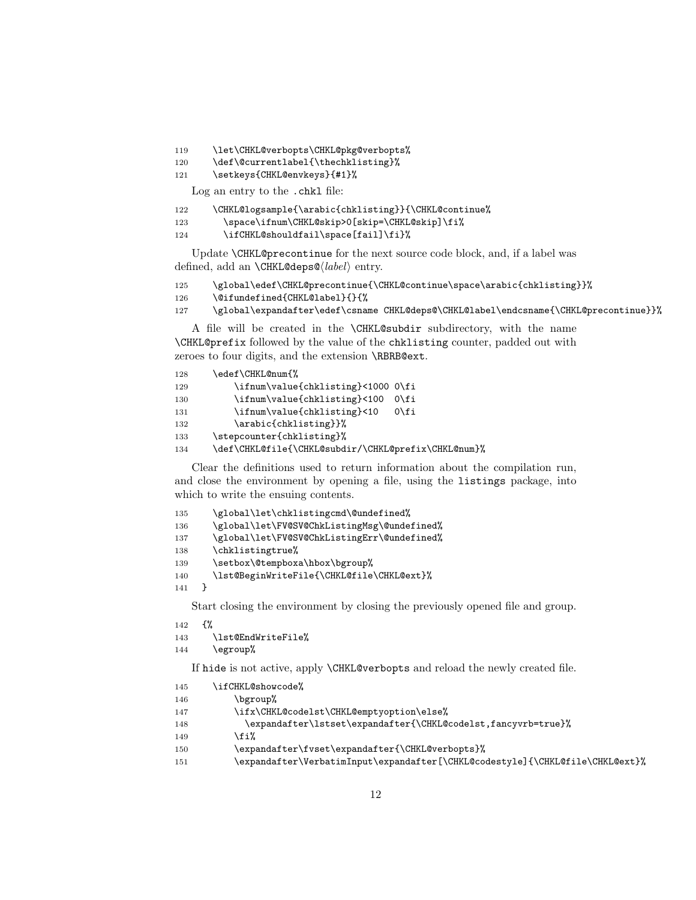- <span id="page-11-9"></span>119 \let\CHKL@verbopts\CHKL@pkg@verbopts%
- <span id="page-11-19"></span>120 \def\@currentlabel{\thechklisting}%
- 121 \setkeys{CHKL@envkeys}{#1}%

Log an entry to the .chkl file:

<span id="page-11-3"></span>

| 122 |  |  |  | \CHKL@logsample{\arabic{chklisting}}{\CHKL@continue% |
|-----|--|--|--|------------------------------------------------------|
|-----|--|--|--|------------------------------------------------------|

<span id="page-11-10"></span>123 \space\ifnum\CHKL@skip>0[skip=\CHKL@skip]\fi%

```
124 \ifCHKL@shouldfail\space[fail]\fi}%
```
Update \CHKL@precontinue for the next source code block, and, if a label was defined, add an  $\CHKL@deps@\langle label \rangle$  entry.

```
125 \global\edef\CHKL@precontinue{\CHKL@continue\space\arabic{chklisting}}%
126 \@ifundefined{CHKL@label}{}{%
```
<span id="page-11-7"></span>127 \global\expandafter\edef\csname CHKL@deps@\CHKL@label\endcsname{\CHKL@precontinue}}%

A file will be created in the \CHKL@subdir subdirectory, with the name \CHKL@prefix followed by the value of the chklisting counter, padded out with zeroes to four digits, and the extension \RBRB@ext.

<span id="page-11-8"></span>

| 128 | \edef\CHKL@num{%                                    |                |
|-----|-----------------------------------------------------|----------------|
| 129 | \ifnum\value{chklisting}<1000 0\fi                  |                |
| 130 | \ifnum\value{chklisting}<100                        | $0 \forall$ fi |
| 131 | \ifnum\value{chklisting}<10                         | $0\forall$ fi  |
| 132 | \arabic{chklisting}}%                               |                |
| 133 | \stepcounter{chklisting}%                           |                |
| 134 | \def\CHKL@file{\CHKL@subdir/\CHKL@prefix\CHKL@num}% |                |

<span id="page-11-6"></span>Clear the definitions used to return information about the compilation run, and close the environment by opening a file, using the listings package, into which to write the ensuing contents.

```
135 \global\let\chklistingcmd\@undefined%
136 \global\let\FV@SV@ChkListingMsg\@undefined%
137 \global\let\FV@SV@ChkListingErr\@undefined%
138 \chklistingtrue%
139 \setbox\@tempboxa\hbox\bgroup%
140 \lst@BeginWriteFile{\CHKL@file\CHKL@ext}%
141 }
```
<span id="page-11-5"></span>Start closing the environment by closing the previously opened file and group.

```
142 \frac{14}{2}143 \lst@EndWriteFile%
```
<span id="page-11-18"></span>

```
144 \egroup%
```
If hide is not active, apply \CHKL@verbopts and reload the newly created file.

<span id="page-11-17"></span><span id="page-11-11"></span><span id="page-11-2"></span><span id="page-11-1"></span><span id="page-11-0"></span>

| 145 | \ifCHKL@showcode%                                                             |
|-----|-------------------------------------------------------------------------------|
| 146 | \bgroup%                                                                      |
| 147 | \ifx\CHKL@codelst\CHKL@emptyoption\else%                                      |
| 148 | \expandafter\lstset\expandafter{\CHKL@codelst,fancyvrb=true}%                 |
| 149 | √fi%                                                                          |
| 150 | \expandafter\fvset\expandafter{\CHKL@verbopts}%                               |
| 151 | \expandafter\VerbatimInput\expandafter[\CHKL@codestyle]{\CHKL@file\CHKL@ext}% |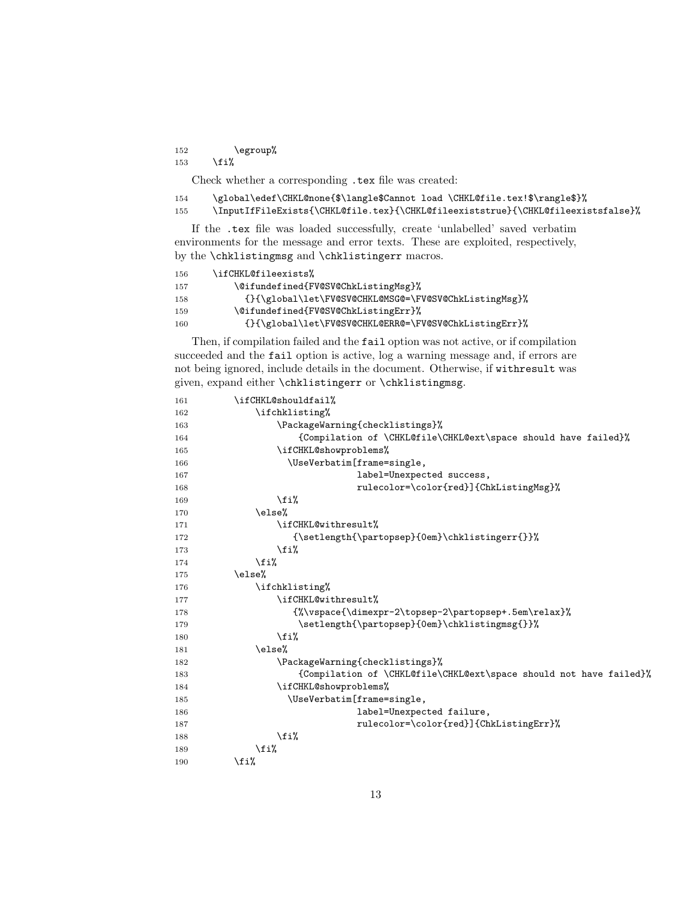152  $\qquad \qquad \qquad \qquad$ 153  $\{f_i\}$ 

Check whether a corresponding .tex file was created:

<span id="page-12-3"></span><span id="page-12-2"></span>

| 154 | \global\edef\CHKL@none{\$\langle\$Cannot load \CHKL@file.tex!\$\rangle\$}%       |
|-----|----------------------------------------------------------------------------------|
| 155 | \InputIfFileExists{\CHKL@file.tex}{\CHKL@fileexiststrue}{\CHKL@fileexistsfalse}% |

If the .tex file was loaded successfully, create 'unlabelled' saved verbatim environments for the message and error texts. These are exploited, respectively, by the \chklistingmsg and \chklistingerr macros.

<span id="page-12-8"></span><span id="page-12-7"></span>

| 156 | \ifCHKL@fileexists%                                   |
|-----|-------------------------------------------------------|
| 157 | \@ifundefined{FV@SV@ChkListingMsg}%                   |
| 158 | {}{\global\let\FV@SV@CHKL@MSG@=\FV@SV@ChkListingMsg}% |
| 159 | \@ifundefined{FV@SV@ChkListingErr}%                   |
| 160 | {}{\global\let\FV@SV@CHKL@ERR@=\FV@SV@ChkListingErr}% |

<span id="page-12-6"></span>Then, if compilation failed and the fail option was not active, or if compilation succeeded and the fail option is active, log a warning message and, if errors are not being ignored, include details in the document. Otherwise, if withresult was given, expand either \chklistingerr or \chklistingmsg.

<span id="page-12-17"></span><span id="page-12-16"></span><span id="page-12-15"></span><span id="page-12-14"></span><span id="page-12-13"></span><span id="page-12-12"></span><span id="page-12-11"></span><span id="page-12-10"></span><span id="page-12-9"></span><span id="page-12-5"></span><span id="page-12-4"></span><span id="page-12-1"></span><span id="page-12-0"></span>

| 161 | \ifCHKL@shouldfail%                                                |  |  |
|-----|--------------------------------------------------------------------|--|--|
| 162 | \ifchklisting%                                                     |  |  |
| 163 | \PackageWarning{checklistings}%                                    |  |  |
| 164 | {Compilation of \CHKL@file\CHKL@ext\space should have failed}%     |  |  |
| 165 | \ifCHKL@showproblems%                                              |  |  |
| 166 | \UseVerbatim[frame=single,                                         |  |  |
| 167 | label=Unexpected success,                                          |  |  |
| 168 | rulecolor=\color{red}]{ChkListingMsg}%                             |  |  |
| 169 | \fi%                                                               |  |  |
| 170 | \else%                                                             |  |  |
| 171 | \ifCHKL@withresult%                                                |  |  |
| 172 | {\setlength{\partopsep}{0em}\chklistingerr{}}%                     |  |  |
| 173 | \fi%                                                               |  |  |
| 174 | \fi%                                                               |  |  |
| 175 | \else%                                                             |  |  |
| 176 | \ifchklisting%                                                     |  |  |
| 177 | \ifCHKL@withresult%                                                |  |  |
| 178 | {%\vspace{\dimexpr-2\topsep-2\partopsep+.5em\relax}%               |  |  |
| 179 | \setlength{\partopsep}{0em}\chklistingmsg{}}%                      |  |  |
| 180 | \fi%                                                               |  |  |
| 181 | \else%                                                             |  |  |
| 182 | \PackageWarning{checklistings}%                                    |  |  |
| 183 | {Compilation of \CHKL@file\CHKL@ext\space should not have failed}% |  |  |
| 184 | \ifCHKL@showproblems%                                              |  |  |
| 185 | \UseVerbatim[frame=single,                                         |  |  |
| 186 | label=Unexpected failure,                                          |  |  |
| 187 | rulecolor=\color{red}]{ChkListingErr}%                             |  |  |
| 188 | \fi%                                                               |  |  |
| 189 | \fi%                                                               |  |  |
| 190 | \fi%                                                               |  |  |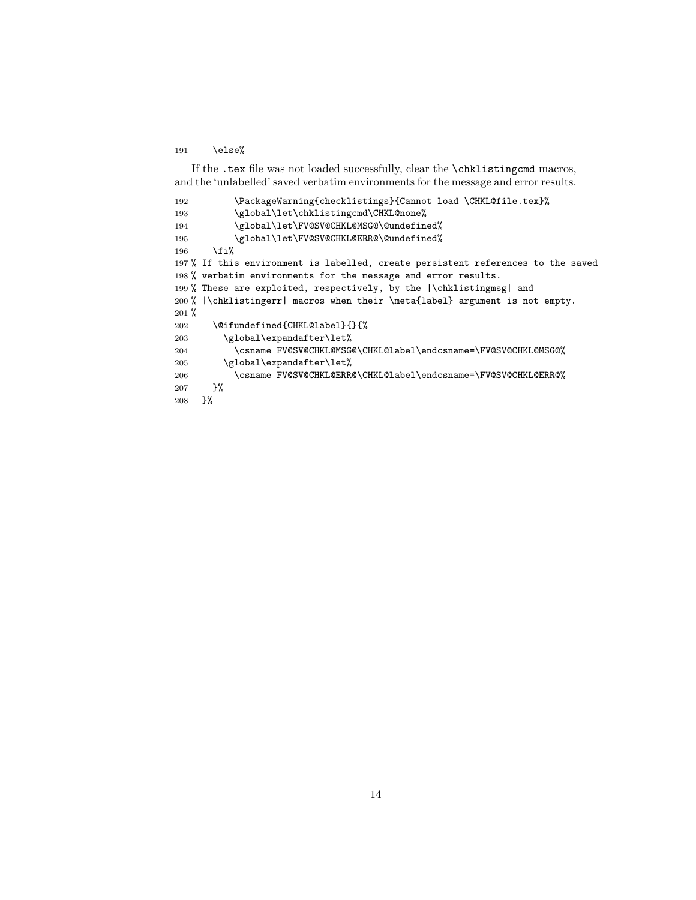191 \else%

If the .tex file was not loaded successfully, clear the \chklistingcmd macros, and the 'unlabelled' saved verbatim environments for the message and error results.

```
192 \PackageWarning{checklistings}{Cannot load \CHKL@file.tex}%
193 \global\let\chklistingcmd\CHKL@none%
194 \global\let\FV@SV@CHKL@MSG@\@undefined%
195 \global\let\FV@SV@CHKL@ERR@\@undefined%
196 \overline{ifi}197 % If this environment is labelled, create persistent references to the saved
198 % verbatim environments for the message and error results.
199 % These are exploited, respectively, by the |\chklistingmsg| and
200 % |\chklistingerr| macros when their \meta{label} argument is not empty.
201 %
202 \@ifundefined{CHKL@label}{}{%
203 \global\expandafter\let%
204 \csname FV@SV@CHKL@MSG@\CHKL@label\endcsname=\FV@SV@CHKL@MSG@%
205 \global\expandafter\let%
206 \csname FV@SV@CHKL@ERR@\CHKL@label\endcsname=\FV@SV@CHKL@ERR@%
207 }%<br>208 }%
208
```